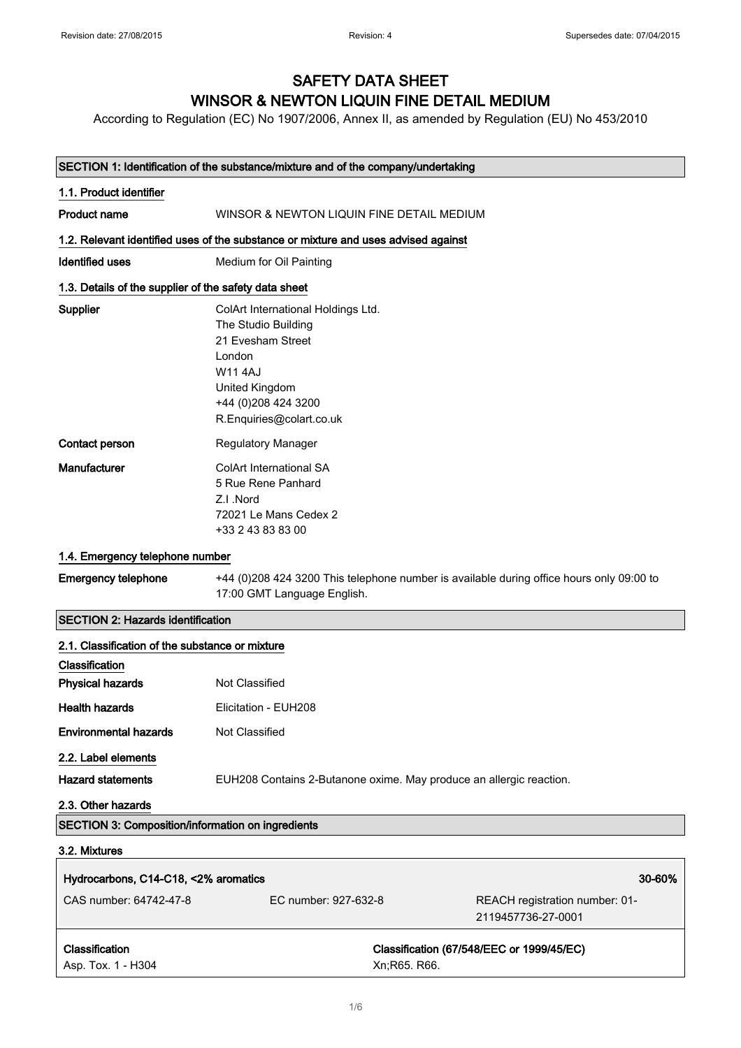## SAFETY DATA SHEET WINSOR & NEWTON LIQUIN FINE DETAIL MEDIUM

According to Regulation (EC) No 1907/2006, Annex II, as amended by Regulation (EU) No 453/2010

| SECTION 1: Identification of the substance/mixture and of the company/undertaking |                                                                                                                                                                           |
|-----------------------------------------------------------------------------------|---------------------------------------------------------------------------------------------------------------------------------------------------------------------------|
| 1.1. Product identifier                                                           |                                                                                                                                                                           |
| <b>Product name</b>                                                               | WINSOR & NEWTON LIQUIN FINE DETAIL MEDIUM                                                                                                                                 |
|                                                                                   | 1.2. Relevant identified uses of the substance or mixture and uses advised against                                                                                        |
| Identified uses                                                                   | Medium for Oil Painting                                                                                                                                                   |
| 1.3. Details of the supplier of the safety data sheet                             |                                                                                                                                                                           |
| <b>Supplier</b>                                                                   | ColArt International Holdings Ltd.<br>The Studio Building<br>21 Evesham Street<br>London<br>W11 4AJ<br>United Kingdom<br>+44 (0) 208 424 3200<br>R.Enquiries@colart.co.uk |
| Contact person                                                                    | <b>Regulatory Manager</b>                                                                                                                                                 |
| Manufacturer                                                                      | ColArt International SA<br>5 Rue Rene Panhard<br>Z.I.Nord<br>72021 Le Mans Cedex 2<br>+33 2 43 83 83 00                                                                   |

#### 1.4. Emergency telephone number

Emergency telephone +44 (0)208 424 3200 This telephone number is available during office hours only 09:00 to 17:00 GMT Language English.

## SECTION 2: Hazards identification

| 2.1. Classification of the substance or mixture          |                      |                                                                     |  |
|----------------------------------------------------------|----------------------|---------------------------------------------------------------------|--|
| <b>Classification</b>                                    |                      |                                                                     |  |
| <b>Physical hazards</b>                                  | Not Classified       |                                                                     |  |
| <b>Health hazards</b>                                    | Elicitation - EUH208 |                                                                     |  |
| <b>Environmental hazards</b>                             | Not Classified       |                                                                     |  |
| 2.2. Label elements                                      |                      |                                                                     |  |
| <b>Hazard statements</b>                                 |                      | EUH208 Contains 2-Butanone oxime. May produce an allergic reaction. |  |
| 2.3. Other hazards                                       |                      |                                                                     |  |
| <b>SECTION 3: Composition/information on ingredients</b> |                      |                                                                     |  |
| 3.2. Mixtures                                            |                      |                                                                     |  |
| Hydrocarbons, C14-C18, <2% aromatics                     |                      | 30-60%                                                              |  |
| CAS number: 64742-47-8                                   | EC number: 927-632-8 | REACH registration number: 01-                                      |  |
|                                                          |                      | 2119457736-27-0001                                                  |  |
| <b>Classification</b>                                    |                      | Classification (67/548/EEC or 1999/45/EC)                           |  |
| Asp. Tox. 1 - H304                                       |                      | Xn; R65. R66.                                                       |  |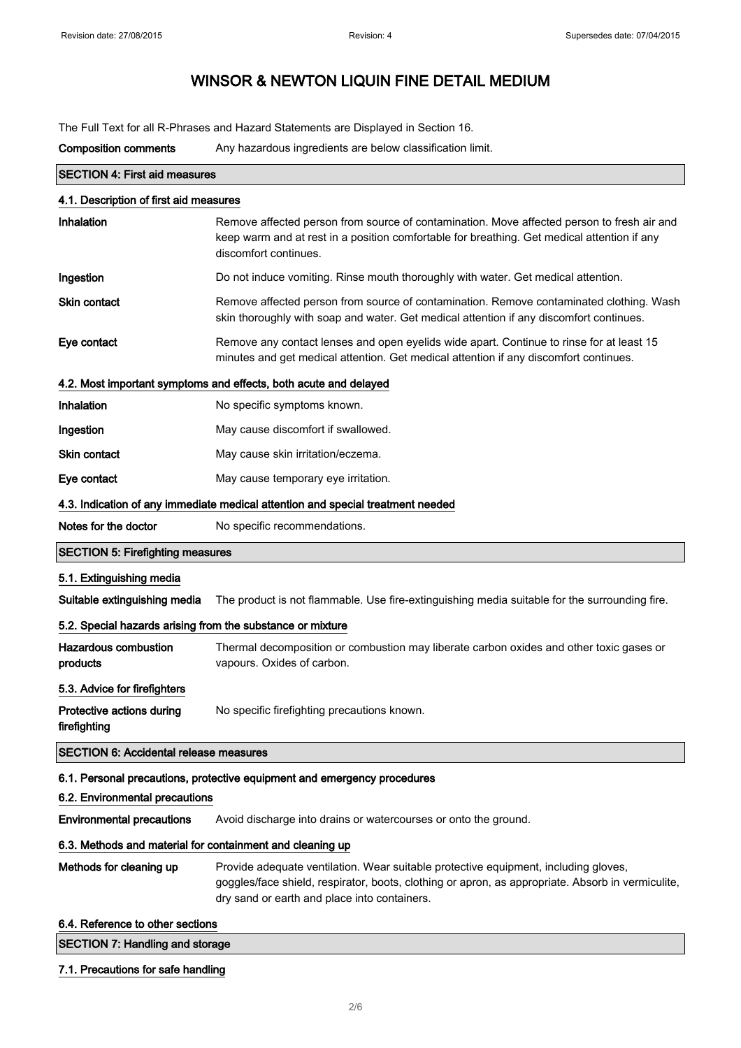The Full Text for all R-Phrases and Hazard Statements are Displayed in Section 16.

Composition comments Any hazardous ingredients are below classification limit.

| <b>SECTION 4: First aid measures</b>                       |                                                                                                                                                                                                                                          |
|------------------------------------------------------------|------------------------------------------------------------------------------------------------------------------------------------------------------------------------------------------------------------------------------------------|
| 4.1. Description of first aid measures                     |                                                                                                                                                                                                                                          |
| Inhalation                                                 | Remove affected person from source of contamination. Move affected person to fresh air and<br>keep warm and at rest in a position comfortable for breathing. Get medical attention if any<br>discomfort continues.                       |
| Ingestion                                                  | Do not induce vomiting. Rinse mouth thoroughly with water. Get medical attention.                                                                                                                                                        |
| <b>Skin contact</b>                                        | Remove affected person from source of contamination. Remove contaminated clothing. Wash<br>skin thoroughly with soap and water. Get medical attention if any discomfort continues.                                                       |
| Eye contact                                                | Remove any contact lenses and open eyelids wide apart. Continue to rinse for at least 15<br>minutes and get medical attention. Get medical attention if any discomfort continues.                                                        |
|                                                            | 4.2. Most important symptoms and effects, both acute and delayed                                                                                                                                                                         |
| Inhalation                                                 | No specific symptoms known.                                                                                                                                                                                                              |
| Ingestion                                                  | May cause discomfort if swallowed.                                                                                                                                                                                                       |
| <b>Skin contact</b>                                        | May cause skin irritation/eczema.                                                                                                                                                                                                        |
| Eye contact                                                | May cause temporary eye irritation.                                                                                                                                                                                                      |
|                                                            | 4.3. Indication of any immediate medical attention and special treatment needed                                                                                                                                                          |
| Notes for the doctor                                       | No specific recommendations.                                                                                                                                                                                                             |
| <b>SECTION 5: Firefighting measures</b>                    |                                                                                                                                                                                                                                          |
| 5.1. Extinguishing media                                   |                                                                                                                                                                                                                                          |
| Suitable extinguishing media                               | The product is not flammable. Use fire-extinguishing media suitable for the surrounding fire.                                                                                                                                            |
| 5.2. Special hazards arising from the substance or mixture |                                                                                                                                                                                                                                          |
| <b>Hazardous combustion</b><br>products                    | Thermal decomposition or combustion may liberate carbon oxides and other toxic gases or<br>vapours. Oxides of carbon.                                                                                                                    |
| 5.3. Advice for firefighters                               |                                                                                                                                                                                                                                          |
| Protective actions during<br>firefighting                  | No specific firefighting precautions known.                                                                                                                                                                                              |
| <b>SECTION 6: Accidental release measures</b>              |                                                                                                                                                                                                                                          |
|                                                            | 6.1. Personal precautions, protective equipment and emergency procedures                                                                                                                                                                 |
| 6.2. Environmental precautions                             |                                                                                                                                                                                                                                          |
| <b>Environmental precautions</b>                           | Avoid discharge into drains or watercourses or onto the ground.                                                                                                                                                                          |
| 6.3. Methods and material for containment and cleaning up  |                                                                                                                                                                                                                                          |
| Methods for cleaning up                                    | Provide adequate ventilation. Wear suitable protective equipment, including gloves,<br>goggles/face shield, respirator, boots, clothing or apron, as appropriate. Absorb in vermiculite,<br>dry sand or earth and place into containers. |
| 6.4. Reference to other sections                           |                                                                                                                                                                                                                                          |
| <b>SECTION 7: Handling and storage</b>                     |                                                                                                                                                                                                                                          |
| 7.1. Precautions for safe handling                         |                                                                                                                                                                                                                                          |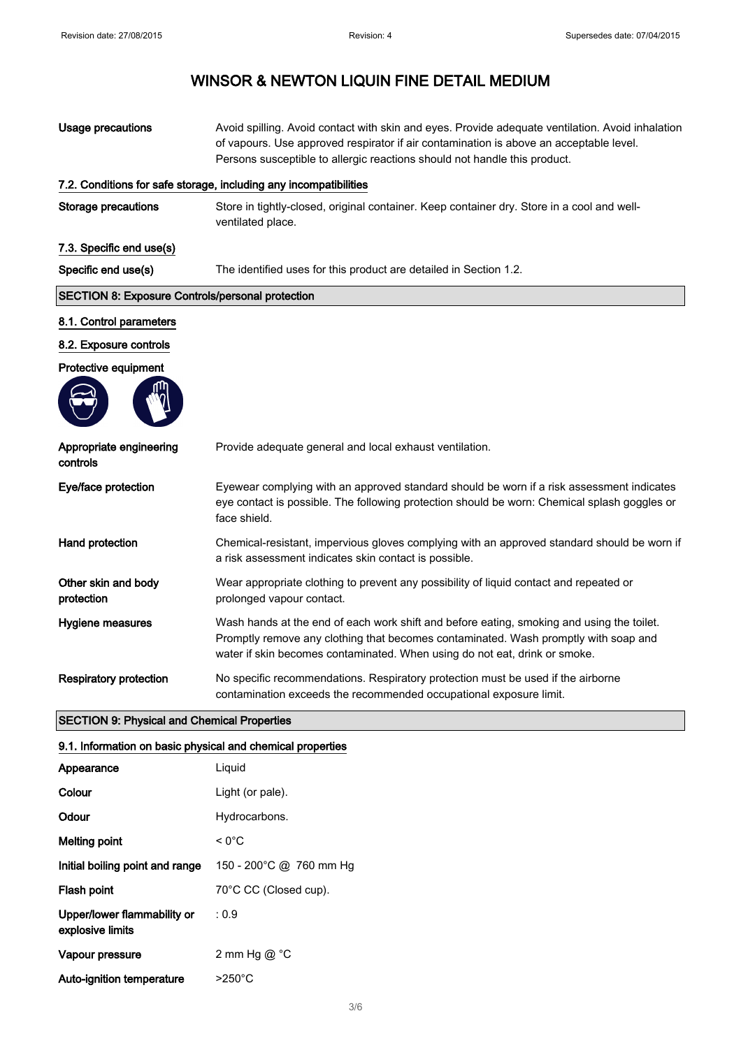| <b>Usage precautions</b>                                   | Avoid spilling. Avoid contact with skin and eyes. Provide adequate ventilation. Avoid inhalation<br>of vapours. Use approved respirator if air contamination is above an acceptable level.<br>Persons susceptible to allergic reactions should not handle this product. |
|------------------------------------------------------------|-------------------------------------------------------------------------------------------------------------------------------------------------------------------------------------------------------------------------------------------------------------------------|
|                                                            | 7.2. Conditions for safe storage, including any incompatibilities                                                                                                                                                                                                       |
| <b>Storage precautions</b>                                 | Store in tightly-closed, original container. Keep container dry. Store in a cool and well-<br>ventilated place.                                                                                                                                                         |
| 7.3. Specific end use(s)                                   |                                                                                                                                                                                                                                                                         |
| Specific end use(s)                                        | The identified uses for this product are detailed in Section 1.2.                                                                                                                                                                                                       |
| <b>SECTION 8: Exposure Controls/personal protection</b>    |                                                                                                                                                                                                                                                                         |
| 8.1. Control parameters                                    |                                                                                                                                                                                                                                                                         |
| 8.2. Exposure controls                                     |                                                                                                                                                                                                                                                                         |
| Protective equipment                                       |                                                                                                                                                                                                                                                                         |
|                                                            |                                                                                                                                                                                                                                                                         |
| Appropriate engineering<br>controls                        | Provide adequate general and local exhaust ventilation.                                                                                                                                                                                                                 |
| Eye/face protection                                        | Eyewear complying with an approved standard should be worn if a risk assessment indicates<br>eye contact is possible. The following protection should be worn: Chemical splash goggles or<br>face shield.                                                               |
| Hand protection                                            | Chemical-resistant, impervious gloves complying with an approved standard should be worn if<br>a risk assessment indicates skin contact is possible.                                                                                                                    |
| Other skin and body<br>protection                          | Wear appropriate clothing to prevent any possibility of liquid contact and repeated or<br>prolonged vapour contact.                                                                                                                                                     |
| <b>Hygiene measures</b>                                    | Wash hands at the end of each work shift and before eating, smoking and using the toilet.<br>Promptly remove any clothing that becomes contaminated. Wash promptly with soap and<br>water if skin becomes contaminated. When using do not eat, drink or smoke.          |
| <b>Respiratory protection</b>                              | No specific recommendations. Respiratory protection must be used if the airborne<br>contamination exceeds the recommended occupational exposure limit.                                                                                                                  |
| <b>SECTION 9: Physical and Chemical Properties</b>         |                                                                                                                                                                                                                                                                         |
| 9.1. Information on basic physical and chemical properties |                                                                                                                                                                                                                                                                         |
| Appearance                                                 | Liquid                                                                                                                                                                                                                                                                  |
| Colour                                                     | Light (or pale).                                                                                                                                                                                                                                                        |
| Odour                                                      | Hydrocarbons.                                                                                                                                                                                                                                                           |
| <b>Melting point</b>                                       | $< 0^{\circ}$ C                                                                                                                                                                                                                                                         |
| Initial boiling point and range                            | 150 - 200°C @ 760 mm Hg                                                                                                                                                                                                                                                 |
| Flash point                                                | 70°C CC (Closed cup).                                                                                                                                                                                                                                                   |
| Upper/lower flammability or<br>explosive limits            | : 0.9                                                                                                                                                                                                                                                                   |
| Vapour pressure                                            | 2 mm Hg $@$ $°C$                                                                                                                                                                                                                                                        |

Auto-ignition temperature >250°C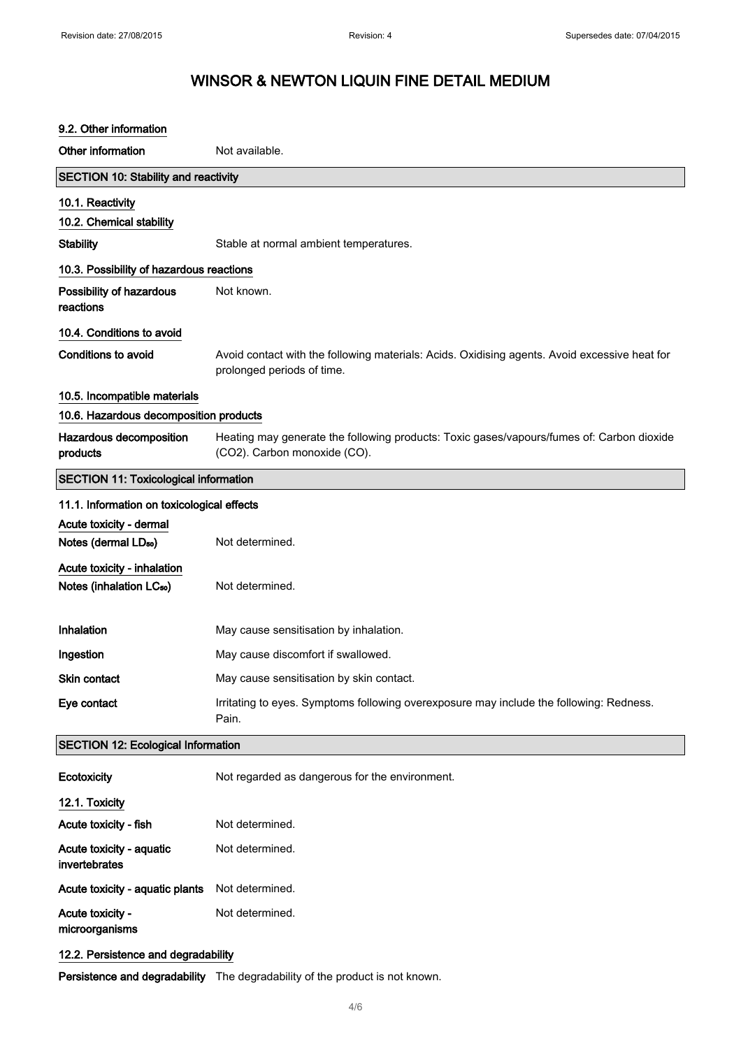| 9.2. Other information                                              |                                                                                                                             |
|---------------------------------------------------------------------|-----------------------------------------------------------------------------------------------------------------------------|
| Other information                                                   | Not available.                                                                                                              |
| <b>SECTION 10: Stability and reactivity</b>                         |                                                                                                                             |
| 10.1. Reactivity                                                    |                                                                                                                             |
| 10.2. Chemical stability                                            |                                                                                                                             |
| <b>Stability</b>                                                    | Stable at normal ambient temperatures.                                                                                      |
| 10.3. Possibility of hazardous reactions                            |                                                                                                                             |
| Possibility of hazardous<br>reactions                               | Not known.                                                                                                                  |
| 10.4. Conditions to avoid                                           |                                                                                                                             |
| <b>Conditions to avoid</b>                                          | Avoid contact with the following materials: Acids. Oxidising agents. Avoid excessive heat for<br>prolonged periods of time. |
| 10.5. Incompatible materials                                        |                                                                                                                             |
| 10.6. Hazardous decomposition products                              |                                                                                                                             |
| Hazardous decomposition<br>products                                 | Heating may generate the following products: Toxic gases/vapours/fumes of: Carbon dioxide<br>(CO2). Carbon monoxide (CO).   |
| <b>SECTION 11: Toxicological information</b>                        |                                                                                                                             |
| 11.1. Information on toxicological effects                          |                                                                                                                             |
| Acute toxicity - dermal                                             |                                                                                                                             |
| Notes (dermal LD <sub>50</sub> )                                    | Not determined.                                                                                                             |
| Acute toxicity - inhalation<br>Notes (inhalation LC <sub>50</sub> ) | Not determined.                                                                                                             |
| Inhalation                                                          | May cause sensitisation by inhalation.                                                                                      |
| Ingestion                                                           | May cause discomfort if swallowed.                                                                                          |
| Skin contact                                                        | May cause sensitisation by skin contact.                                                                                    |
| Eye contact                                                         | Irritating to eyes. Symptoms following overexposure may include the following: Redness.<br>Pain.                            |
| <b>SECTION 12: Ecological Information</b>                           |                                                                                                                             |
| Ecotoxicity                                                         | Not regarded as dangerous for the environment.                                                                              |
| 12.1. Toxicity                                                      |                                                                                                                             |
| Acute toxicity - fish                                               | Not determined.                                                                                                             |
| Acute toxicity - aquatic<br>invertebrates                           | Not determined.                                                                                                             |
| Acute toxicity - aquatic plants                                     | Not determined.                                                                                                             |
| Acute toxicity -<br>microorganisms                                  | Not determined.                                                                                                             |

### 12.2. Persistence and degradability

Persistence and degradability The degradability of the product is not known.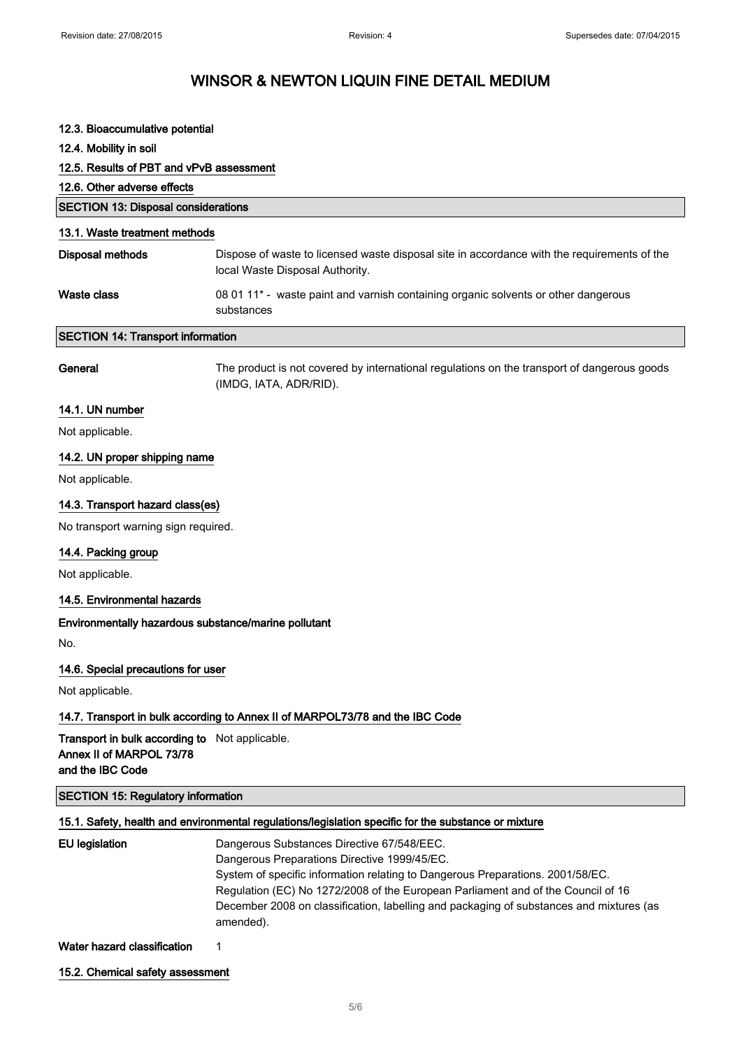#### 12.3. Bioaccumulative potential

12.4. Mobility in soil

12.5. Results of PBT and vPvB assessment

### 12.6. Other adverse effects

| <b>SECTION 13: Disposal considerations</b> |                                                                                                                                |
|--------------------------------------------|--------------------------------------------------------------------------------------------------------------------------------|
| 13.1. Waste treatment methods              |                                                                                                                                |
| Disposal methods                           | Dispose of waste to licensed waste disposal site in accordance with the requirements of the<br>local Waste Disposal Authority. |
| Waste class                                | 08 01 11 <sup>*</sup> - waste paint and varnish containing organic solvents or other dangerous<br>substances                   |
|                                            |                                                                                                                                |

## SECTION 14: Transport information

| General | The product is not covered by international regulations on the transport of dangerous goods |
|---------|---------------------------------------------------------------------------------------------|
|         | (IMDG. IATA, ADR/RID).                                                                      |

### 14.1. UN number

Not applicable.

#### 14.2. UN proper shipping name

Not applicable.

#### 14.3. Transport hazard class(es)

No transport warning sign required.

#### 14.4. Packing group

Not applicable.

#### 14.5. Environmental hazards

#### Environmentally hazardous substance/marine pollutant

No.

#### 14.6. Special precautions for user

Not applicable.

#### 14.7. Transport in bulk according to Annex II of MARPOL73/78 and the IBC Code

Transport in bulk according to Not applicable. Annex II of MARPOL 73/78 and the IBC Code

#### SECTION 15: Regulatory information

#### 15.1. Safety, health and environmental regulations/legislation specific for the substance or mixture

| Dangerous Substances Directive 67/548/EEC.                                                           |
|------------------------------------------------------------------------------------------------------|
| Dangerous Preparations Directive 1999/45/EC.                                                         |
| System of specific information relating to Dangerous Preparations. 2001/58/EC.                       |
| Regulation (EC) No 1272/2008 of the European Parliament and of the Council of 16                     |
| December 2008 on classification, labelling and packaging of substances and mixtures (as<br>amended). |
|                                                                                                      |

#### Water hazard classification 1

15.2. Chemical safety assessment